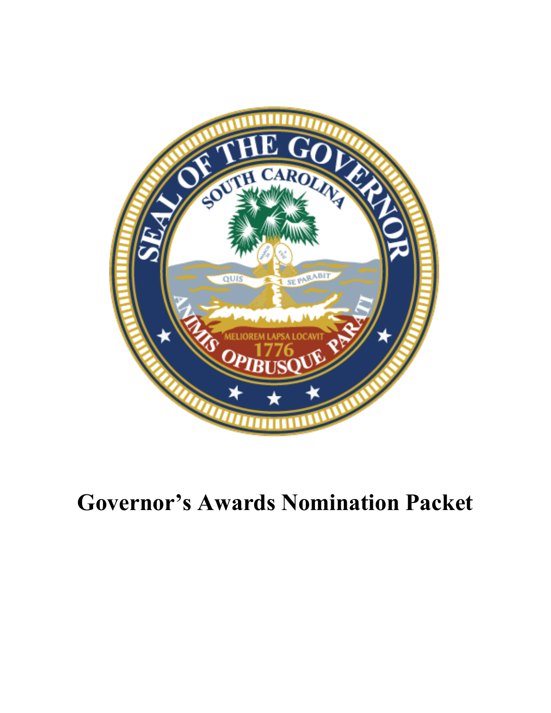

# **Governor's Awards Nomination Packet**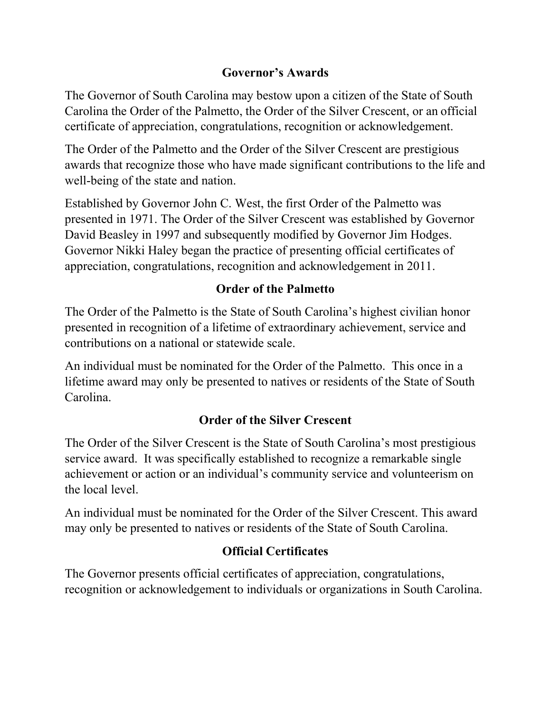### **Governor's Awards**

The Governor of South Carolina may bestow upon a citizen of the State of South Carolina the Order of the Palmetto, the Order of the Silver Crescent, or an official certificate of appreciation, congratulations, recognition or acknowledgement.

The Order of the Palmetto and the Order of the Silver Crescent are prestigious awards that recognize those who have made significant contributions to the life and well-being of the state and nation.

Established by Governor John C. West, the first Order of the Palmetto was presented in 1971. The Order of the Silver Crescent was established by Governor David Beasley in 1997 and subsequently modified by Governor Jim Hodges. Governor Nikki Haley began the practice of presenting official certificates of appreciation, congratulations, recognition and acknowledgement in 2011.

# **Order of the Palmetto**

The Order of the Palmetto is the State of South Carolina's highest civilian honor presented in recognition of a lifetime of extraordinary achievement, service and contributions on a national or statewide scale.

An individual must be nominated for the Order of the Palmetto. This once in a lifetime award may only be presented to natives or residents of the State of South Carolina.

# **Order of the Silver Crescent**

The Order of the Silver Crescent is the State of South Carolina's most prestigious service award. It was specifically established to recognize a remarkable single achievement or action or an individual's community service and volunteerism on the local level.

An individual must be nominated for the Order of the Silver Crescent. This award may only be presented to natives or residents of the State of South Carolina.

# **Official Certificates**

The Governor presents official certificates of appreciation, congratulations, recognition or acknowledgement to individuals or organizations in South Carolina.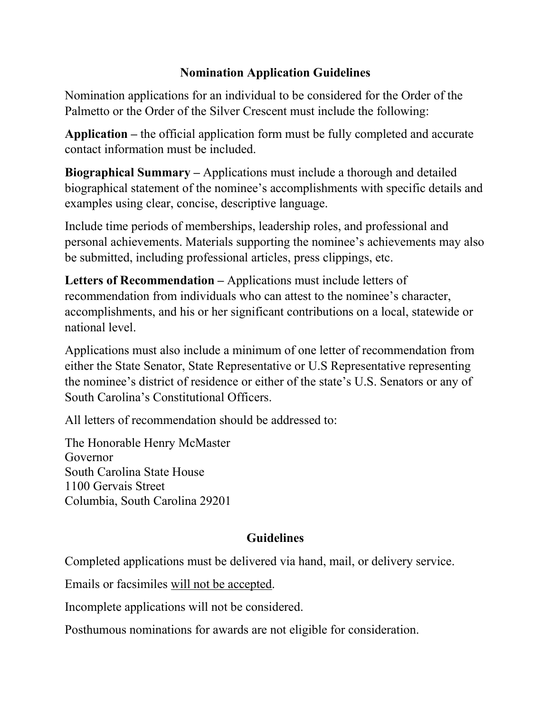### **Nomination Application Guidelines**

Nomination applications for an individual to be considered for the Order of the Palmetto or the Order of the Silver Crescent must include the following:

**Application –** the official application form must be fully completed and accurate contact information must be included.

**Biographical Summary –** Applications must include a thorough and detailed biographical statement of the nominee's accomplishments with specific details and examples using clear, concise, descriptive language.

Include time periods of memberships, leadership roles, and professional and personal achievements. Materials supporting the nominee's achievements may also be submitted, including professional articles, press clippings, etc.

**Letters of Recommendation –** Applications must include letters of recommendation from individuals who can attest to the nominee's character, accomplishments, and his or her significant contributions on a local, statewide or national level.

Applications must also include a minimum of one letter of recommendation from either the State Senator, State Representative or U.S Representative representing the nominee's district of residence or either of the state's U.S. Senators or any of South Carolina's Constitutional Officers.

All letters of recommendation should be addressed to:

The Honorable Henry McMaster Governor South Carolina State House 1100 Gervais Street Columbia, South Carolina 29201

### **Guidelines**

Completed applications must be delivered via hand, mail, or delivery service.

Emails or facsimiles will not be accepted.

Incomplete applications will not be considered.

Posthumous nominations for awards are not eligible for consideration.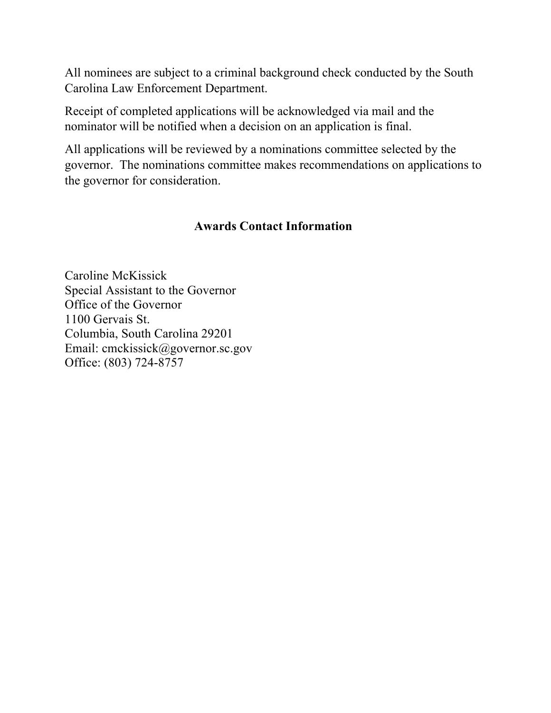All nominees are subject to a criminal background check conducted by the South Carolina Law Enforcement Department.

Receipt of completed applications will be acknowledged via mail and the nominator will be notified when a decision on an application is final.

All applications will be reviewed by a nominations committee selected by the governor. The nominations committee makes recommendations on applications to the governor for consideration.

### **Awards Contact Information**

Caroline McKissick Special Assistant to the Governor Office of the Governor 1100 Gervais St. Columbia, South Carolina 29201 Email: cmckissick@governor.sc.gov Office: (803) 724-8757